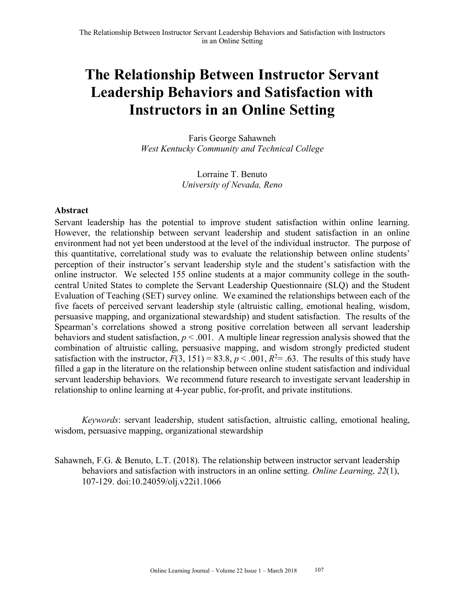# **The Relationship Between Instructor Servant Leadership Behaviors and Satisfaction with Instructors in an Online Setting**

Faris George Sahawneh *West Kentucky Community and Technical College* 

> Lorraine T. Benuto *University of Nevada, Reno*

#### **Abstract**

Servant leadership has the potential to improve student satisfaction within online learning. However, the relationship between servant leadership and student satisfaction in an online environment had not yet been understood at the level of the individual instructor. The purpose of this quantitative, correlational study was to evaluate the relationship between online students' perception of their instructor's servant leadership style and the student's satisfaction with the online instructor. We selected 155 online students at a major community college in the southcentral United States to complete the Servant Leadership Questionnaire (SLQ) and the Student Evaluation of Teaching (SET) survey online. We examined the relationships between each of the five facets of perceived servant leadership style (altruistic calling, emotional healing, wisdom, persuasive mapping, and organizational stewardship) and student satisfaction. The results of the Spearman's correlations showed a strong positive correlation between all servant leadership behaviors and student satisfaction,  $p < .001$ . A multiple linear regression analysis showed that the combination of altruistic calling, persuasive mapping, and wisdom strongly predicted student satisfaction with the instructor,  $F(3, 151) = 83.8, p < .001, R<sup>2</sup> = .63$ . The results of this study have filled a gap in the literature on the relationship between online student satisfaction and individual servant leadership behaviors. We recommend future research to investigate servant leadership in relationship to online learning at 4-year public, for-profit, and private institutions.

*Keywords*: servant leadership, student satisfaction, altruistic calling, emotional healing, wisdom, persuasive mapping, organizational stewardship

Sahawneh, F.G. & Benuto, L.T. (2018). The relationship between instructor servant leadership behaviors and satisfaction with instructors in an online setting. *Online Learning, 22*(1), 107-129. doi:10.24059/olj.v22i1.1066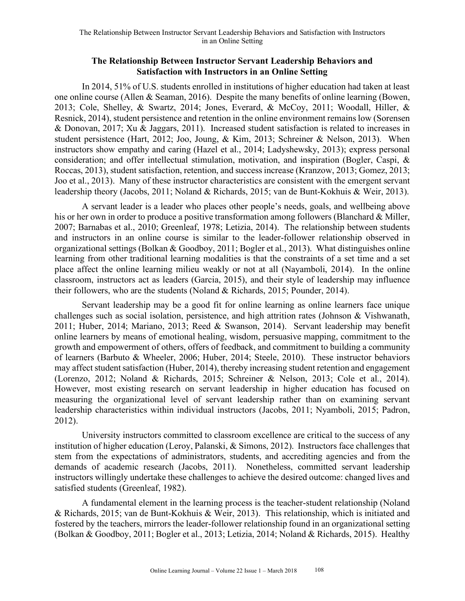## **The Relationship Between Instructor Servant Leadership Behaviors and Satisfaction with Instructors in an Online Setting**

In 2014, 51% of U.S. students enrolled in institutions of higher education had taken at least one online course (Allen & Seaman, 2016). Despite the many benefits of online learning (Bowen, 2013; Cole, Shelley, & Swartz, 2014; Jones, Everard, & McCoy, 2011; Woodall, Hiller, & Resnick, 2014), student persistence and retention in the online environment remains low (Sorensen & Donovan, 2017; Xu & Jaggars, 2011). Increased student satisfaction is related to increases in student persistence (Hart, 2012; Joo, Joung, & Kim, 2013; Schreiner & Nelson, 2013). When instructors show empathy and caring (Hazel et al., 2014; Ladyshewsky, 2013); express personal consideration; and offer intellectual stimulation, motivation, and inspiration (Bogler, Caspi, & Roccas, 2013), student satisfaction, retention, and success increase (Kranzow, 2013; Gomez, 2013; Joo et al., 2013). Many of these instructor characteristics are consistent with the emergent servant leadership theory (Jacobs, 2011; Noland & Richards, 2015; van de Bunt-Kokhuis & Weir, 2013).

A servant leader is a leader who places other people's needs, goals, and wellbeing above his or her own in order to produce a positive transformation among followers (Blanchard & Miller, 2007; Barnabas et al., 2010; Greenleaf, 1978; Letizia, 2014). The relationship between students and instructors in an online course is similar to the leader-follower relationship observed in organizational settings (Bolkan & Goodboy, 2011; Bogler et al., 2013). What distinguishes online learning from other traditional learning modalities is that the constraints of a set time and a set place affect the online learning milieu weakly or not at all (Nayamboli, 2014). In the online classroom, instructors act as leaders (Garcia, 2015), and their style of leadership may influence their followers, who are the students (Noland & Richards, 2015; Pounder, 2014).

Servant leadership may be a good fit for online learning as online learners face unique challenges such as social isolation, persistence, and high attrition rates (Johnson & Vishwanath, 2011; Huber, 2014; Mariano, 2013; Reed & Swanson, 2014). Servant leadership may benefit online learners by means of emotional healing, wisdom, persuasive mapping, commitment to the growth and empowerment of others, offers of feedback, and commitment to building a community of learners (Barbuto & Wheeler, 2006; Huber, 2014; Steele, 2010). These instructor behaviors may affect student satisfaction (Huber, 2014), thereby increasing student retention and engagement (Lorenzo, 2012; Noland & Richards, 2015; Schreiner & Nelson, 2013; Cole et al., 2014). However, most existing research on servant leadership in higher education has focused on measuring the organizational level of servant leadership rather than on examining servant leadership characteristics within individual instructors (Jacobs, 2011; Nyamboli, 2015; Padron, 2012).

University instructors committed to classroom excellence are critical to the success of any institution of higher education (Leroy, Palanski, & Simons, 2012). Instructors face challenges that stem from the expectations of administrators, students, and accrediting agencies and from the demands of academic research (Jacobs, 2011). Nonetheless, committed servant leadership instructors willingly undertake these challenges to achieve the desired outcome: changed lives and satisfied students (Greenleaf, 1982).

A fundamental element in the learning process is the teacher-student relationship (Noland & Richards, 2015; van de Bunt-Kokhuis & Weir, 2013). This relationship, which is initiated and fostered by the teachers, mirrors the leader-follower relationship found in an organizational setting (Bolkan & Goodboy, 2011; Bogler et al., 2013; Letizia, 2014; Noland & Richards, 2015). Healthy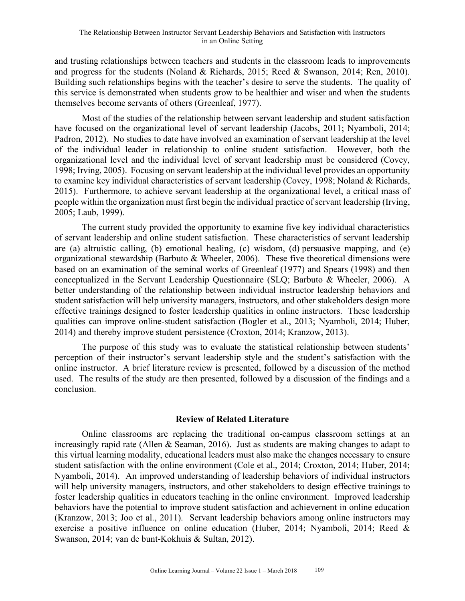#### The Relationship Between Instructor Servant Leadership Behaviors and Satisfaction with Instructors in an Online Setting

and trusting relationships between teachers and students in the classroom leads to improvements and progress for the students (Noland & Richards, 2015; Reed & Swanson, 2014; Ren, 2010). Building such relationships begins with the teacher's desire to serve the students. The quality of this service is demonstrated when students grow to be healthier and wiser and when the students themselves become servants of others (Greenleaf, 1977).

Most of the studies of the relationship between servant leadership and student satisfaction have focused on the organizational level of servant leadership (Jacobs, 2011; Nyamboli, 2014; Padron, 2012). No studies to date have involved an examination of servant leadership at the level of the individual leader in relationship to online student satisfaction. However, both the organizational level and the individual level of servant leadership must be considered (Covey, 1998; Irving, 2005). Focusing on servant leadership at the individual level provides an opportunity to examine key individual characteristics of servant leadership (Covey, 1998; Noland & Richards, 2015). Furthermore, to achieve servant leadership at the organizational level, a critical mass of people within the organization must first begin the individual practice of servant leadership (Irving, 2005; Laub, 1999).

The current study provided the opportunity to examine five key individual characteristics of servant leadership and online student satisfaction. These characteristics of servant leadership are (a) altruistic calling, (b) emotional healing, (c) wisdom, (d) persuasive mapping, and (e) organizational stewardship (Barbuto & Wheeler, 2006). These five theoretical dimensions were based on an examination of the seminal works of Greenleaf (1977) and Spears (1998) and then conceptualized in the Servant Leadership Questionnaire (SLQ; Barbuto & Wheeler, 2006). A better understanding of the relationship between individual instructor leadership behaviors and student satisfaction will help university managers, instructors, and other stakeholders design more effective trainings designed to foster leadership qualities in online instructors. These leadership qualities can improve online-student satisfaction (Bogler et al., 2013; Nyamboli, 2014; Huber, 2014) and thereby improve student persistence (Croxton, 2014; Kranzow, 2013).

The purpose of this study was to evaluate the statistical relationship between students' perception of their instructor's servant leadership style and the student's satisfaction with the online instructor. A brief literature review is presented, followed by a discussion of the method used. The results of the study are then presented, followed by a discussion of the findings and a conclusion.

#### **Review of Related Literature**

Online classrooms are replacing the traditional on-campus classroom settings at an increasingly rapid rate (Allen & Seaman, 2016). Just as students are making changes to adapt to this virtual learning modality, educational leaders must also make the changes necessary to ensure student satisfaction with the online environment (Cole et al., 2014; Croxton, 2014; Huber, 2014; Nyamboli, 2014). An improved understanding of leadership behaviors of individual instructors will help university managers, instructors, and other stakeholders to design effective trainings to foster leadership qualities in educators teaching in the online environment. Improved leadership behaviors have the potential to improve student satisfaction and achievement in online education (Kranzow, 2013; Joo et al., 2011). Servant leadership behaviors among online instructors may exercise a positive influence on online education (Huber, 2014; Nyamboli, 2014; Reed & Swanson, 2014; van de bunt-Kokhuis & Sultan, 2012).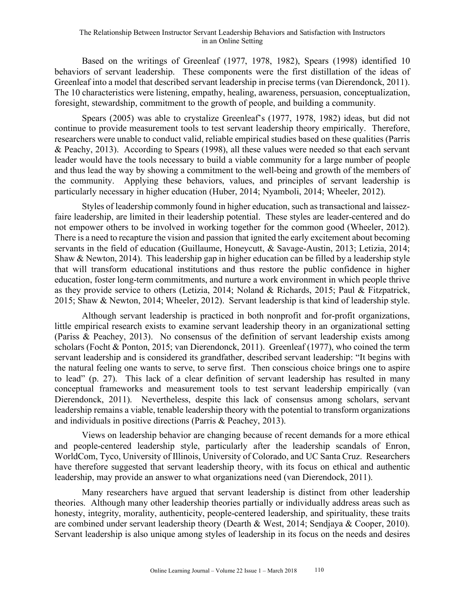#### The Relationship Between Instructor Servant Leadership Behaviors and Satisfaction with Instructors in an Online Setting

Based on the writings of Greenleaf (1977, 1978, 1982), Spears (1998) identified 10 behaviors of servant leadership. These components were the first distillation of the ideas of Greenleaf into a model that described servant leadership in precise terms (van Dierendonck, 2011). The 10 characteristics were listening, empathy, healing, awareness, persuasion, conceptualization, foresight, stewardship, commitment to the growth of people, and building a community.

Spears (2005) was able to crystalize Greenleaf's (1977, 1978, 1982) ideas, but did not continue to provide measurement tools to test servant leadership theory empirically. Therefore, researchers were unable to conduct valid, reliable empirical studies based on these qualities (Parris & Peachy, 2013). According to Spears (1998), all these values were needed so that each servant leader would have the tools necessary to build a viable community for a large number of people and thus lead the way by showing a commitment to the well-being and growth of the members of the community. Applying these behaviors, values, and principles of servant leadership is particularly necessary in higher education (Huber, 2014; Nyamboli, 2014; Wheeler, 2012).

Styles of leadership commonly found in higher education, such as transactional and laissezfaire leadership, are limited in their leadership potential. These styles are leader-centered and do not empower others to be involved in working together for the common good (Wheeler, 2012). There is a need to recapture the vision and passion that ignited the early excitement about becoming servants in the field of education (Guillaume, Honeycutt, & Savage-Austin, 2013; Letizia, 2014; Shaw & Newton, 2014). This leadership gap in higher education can be filled by a leadership style that will transform educational institutions and thus restore the public confidence in higher education, foster long-term commitments, and nurture a work environment in which people thrive as they provide service to others (Letizia, 2014; Noland & Richards, 2015; Paul & Fitzpatrick, 2015; Shaw & Newton, 2014; Wheeler, 2012). Servant leadership is that kind of leadership style.

Although servant leadership is practiced in both nonprofit and for-profit organizations, little empirical research exists to examine servant leadership theory in an organizational setting (Pariss & Peachey, 2013). No consensus of the definition of servant leadership exists among scholars (Focht & Ponton, 2015; van Dierendonck, 2011). Greenleaf (1977), who coined the term servant leadership and is considered its grandfather, described servant leadership: "It begins with the natural feeling one wants to serve, to serve first. Then conscious choice brings one to aspire to lead" (p. 27). This lack of a clear definition of servant leadership has resulted in many conceptual frameworks and measurement tools to test servant leadership empirically (van Dierendonck, 2011). Nevertheless, despite this lack of consensus among scholars, servant leadership remains a viable, tenable leadership theory with the potential to transform organizations and individuals in positive directions (Parris & Peachey, 2013).

Views on leadership behavior are changing because of recent demands for a more ethical and people-centered leadership style, particularly after the leadership scandals of Enron, WorldCom, Tyco, University of Illinois, University of Colorado, and UC Santa Cruz. Researchers have therefore suggested that servant leadership theory, with its focus on ethical and authentic leadership, may provide an answer to what organizations need (van Dierendock, 2011).

Many researchers have argued that servant leadership is distinct from other leadership theories. Although many other leadership theories partially or individually address areas such as honesty, integrity, morality, authenticity, people-centered leadership, and spirituality, these traits are combined under servant leadership theory (Dearth & West, 2014; Sendjaya & Cooper, 2010). Servant leadership is also unique among styles of leadership in its focus on the needs and desires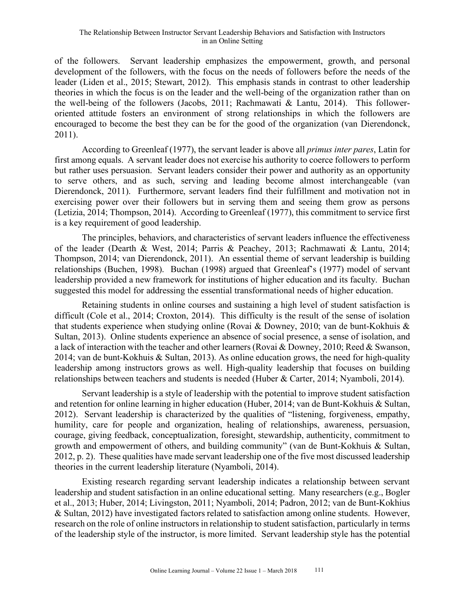of the followers. Servant leadership emphasizes the empowerment, growth, and personal development of the followers, with the focus on the needs of followers before the needs of the leader (Liden et al., 2015; Stewart, 2012). This emphasis stands in contrast to other leadership theories in which the focus is on the leader and the well-being of the organization rather than on the well-being of the followers (Jacobs, 2011; Rachmawati & Lantu, 2014). This followeroriented attitude fosters an environment of strong relationships in which the followers are encouraged to become the best they can be for the good of the organization (van Dierendonck, 2011).

According to Greenleaf (1977), the servant leader is above all *primus inter pares*, Latin for first among equals. A servant leader does not exercise his authority to coerce followers to perform but rather uses persuasion. Servant leaders consider their power and authority as an opportunity to serve others, and as such, serving and leading become almost interchangeable (van Dierendonck, 2011). Furthermore, servant leaders find their fulfillment and motivation not in exercising power over their followers but in serving them and seeing them grow as persons (Letizia, 2014; Thompson, 2014). According to Greenleaf (1977), this commitment to service first is a key requirement of good leadership.

The principles, behaviors, and characteristics of servant leaders influence the effectiveness of the leader (Dearth & West, 2014; Parris & Peachey, 2013; Rachmawati & Lantu, 2014; Thompson, 2014; van Dierendonck, 2011). An essential theme of servant leadership is building relationships (Buchen, 1998). Buchan (1998) argued that Greenleaf's (1977) model of servant leadership provided a new framework for institutions of higher education and its faculty. Buchan suggested this model for addressing the essential transformational needs of higher education.

Retaining students in online courses and sustaining a high level of student satisfaction is difficult (Cole et al., 2014; Croxton, 2014). This difficulty is the result of the sense of isolation that students experience when studying online (Rovai & Downey, 2010; van de bunt-Kokhuis & Sultan, 2013). Online students experience an absence of social presence, a sense of isolation, and a lack of interaction with the teacher and other learners (Rovai & Downey, 2010; Reed & Swanson, 2014; van de bunt-Kokhuis & Sultan, 2013). As online education grows, the need for high-quality leadership among instructors grows as well. High-quality leadership that focuses on building relationships between teachers and students is needed (Huber & Carter, 2014; Nyamboli, 2014).

Servant leadership is a style of leadership with the potential to improve student satisfaction and retention for online learning in higher education (Huber, 2014; van de Bunt-Kokhuis & Sultan, 2012). Servant leadership is characterized by the qualities of "listening, forgiveness, empathy, humility, care for people and organization, healing of relationships, awareness, persuasion, courage, giving feedback, conceptualization, foresight, stewardship, authenticity, commitment to growth and empowerment of others, and building community" (van de Bunt-Kokhuis & Sultan, 2012, p. 2). These qualities have made servant leadership one of the five most discussed leadership theories in the current leadership literature (Nyamboli, 2014).

Existing research regarding servant leadership indicates a relationship between servant leadership and student satisfaction in an online educational setting. Many researchers (e.g., Bogler et al., 2013; Huber, 2014; Livingston, 2011; Nyamboli, 2014; Padron, 2012; van de Bunt-Kokhius & Sultan, 2012) have investigated factors related to satisfaction among online students. However, research on the role of online instructors in relationship to student satisfaction, particularly in terms of the leadership style of the instructor, is more limited. Servant leadership style has the potential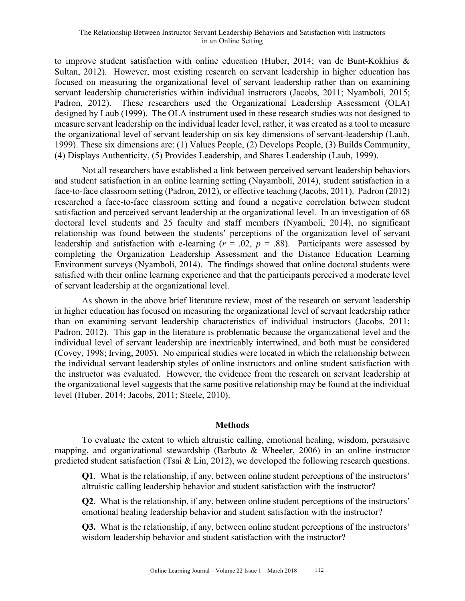to improve student satisfaction with online education (Huber, 2014; van de Bunt-Kokhius & Sultan, 2012). However, most existing research on servant leadership in higher education has focused on measuring the organizational level of servant leadership rather than on examining servant leadership characteristics within individual instructors (Jacobs, 2011; Nyamboli, 2015; Padron, 2012). These researchers used the Organizational Leadership Assessment (OLA) designed by Laub (1999). The OLA instrument used in these research studies was not designed to measure servant leadership on the individual leader level, rather, it was created as a tool to measure the organizational level of servant leadership on six key dimensions of servant-leadership (Laub, 1999). These six dimensions are: (1) Values People, (2) Develops People, (3) Builds Community, (4) Displays Authenticity, (5) Provides Leadership, and Shares Leadership (Laub, 1999).

Not all researchers have established a link between perceived servant leadership behaviors and student satisfaction in an online learning setting (Nayamboli, 2014), student satisfaction in a face-to-face classroom setting (Padron, 2012), or effective teaching (Jacobs, 2011). Padron (2012) researched a face-to-face classroom setting and found a negative correlation between student satisfaction and perceived servant leadership at the organizational level. In an investigation of 68 doctoral level students and 25 faculty and staff members (Nyamboli, 2014), no significant relationship was found between the students' perceptions of the organization level of servant leadership and satisfaction with e-learning  $(r = .02, p = .88)$ . Participants were assessed by completing the Organization Leadership Assessment and the Distance Education Learning Environment surveys (Nyamboli, 2014). The findings showed that online doctoral students were satisfied with their online learning experience and that the participants perceived a moderate level of servant leadership at the organizational level.

As shown in the above brief literature review, most of the research on servant leadership in higher education has focused on measuring the organizational level of servant leadership rather than on examining servant leadership characteristics of individual instructors (Jacobs, 2011; Padron, 2012). This gap in the literature is problematic because the organizational level and the individual level of servant leadership are inextricably intertwined, and both must be considered (Covey, 1998; Irving, 2005). No empirical studies were located in which the relationship between the individual servant leadership styles of online instructors and online student satisfaction with the instructor was evaluated. However, the evidence from the research on servant leadership at the organizational level suggests that the same positive relationship may be found at the individual level (Huber, 2014; Jacobs, 2011; Steele, 2010).

#### **Methods**

To evaluate the extent to which altruistic calling, emotional healing, wisdom, persuasive mapping, and organizational stewardship (Barbuto & Wheeler, 2006) in an online instructor predicted student satisfaction (Tsai & Lin, 2012), we developed the following research questions.

**Q1**. What is the relationship, if any, between online student perceptions of the instructors' altruistic calling leadership behavior and student satisfaction with the instructor?

**Q2**. What is the relationship, if any, between online student perceptions of the instructors' emotional healing leadership behavior and student satisfaction with the instructor?

**Q3.** What is the relationship, if any, between online student perceptions of the instructors' wisdom leadership behavior and student satisfaction with the instructor?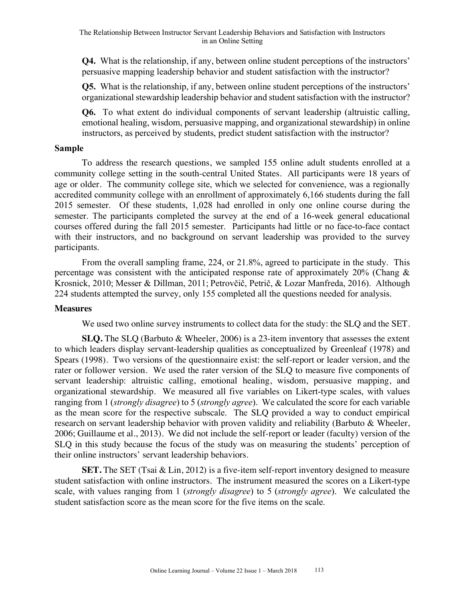**Q4.** What is the relationship, if any, between online student perceptions of the instructors' persuasive mapping leadership behavior and student satisfaction with the instructor?

**Q5.** What is the relationship, if any, between online student perceptions of the instructors' organizational stewardship leadership behavior and student satisfaction with the instructor?

**Q6.** To what extent do individual components of servant leadership (altruistic calling, emotional healing, wisdom, persuasive mapping, and organizational stewardship) in online instructors, as perceived by students, predict student satisfaction with the instructor?

#### **Sample**

To address the research questions, we sampled 155 online adult students enrolled at a community college setting in the south-central United States. All participants were 18 years of age or older. The community college site, which we selected for convenience, was a regionally accredited community college with an enrollment of approximately 6,166 students during the fall 2015 semester. Of these students, 1,028 had enrolled in only one online course during the semester. The participants completed the survey at the end of a 16-week general educational courses offered during the fall 2015 semester. Participants had little or no face-to-face contact with their instructors, and no background on servant leadership was provided to the survey participants.

From the overall sampling frame, 224, or 21.8%, agreed to participate in the study. This percentage was consistent with the anticipated response rate of approximately 20% (Chang & Krosnick, 2010; Messer & Dillman, 2011; Petrovčič, Petrič, & Lozar Manfreda, 2016). Although 224 students attempted the survey, only 155 completed all the questions needed for analysis.

#### **Measures**

We used two online survey instruments to collect data for the study: the SLQ and the SET.

**SLQ.** The SLQ (Barbuto & Wheeler, 2006) is a 23-item inventory that assesses the extent to which leaders display servant-leadership qualities as conceptualized by Greenleaf (1978) and Spears (1998). Two versions of the questionnaire exist: the self-report or leader version, and the rater or follower version. We used the rater version of the SLQ to measure five components of servant leadership: altruistic calling, emotional healing, wisdom, persuasive mapping, and organizational stewardship. We measured all five variables on Likert-type scales, with values ranging from 1 (*strongly disagree*) to 5 (*strongly agree*). We calculated the score for each variable as the mean score for the respective subscale. The SLQ provided a way to conduct empirical research on servant leadership behavior with proven validity and reliability (Barbuto & Wheeler, 2006; Guillaume et al., 2013). We did not include the self-report or leader (faculty) version of the SLQ in this study because the focus of the study was on measuring the students' perception of their online instructors' servant leadership behaviors.

**SET.** The SET (Tsai & Lin, 2012) is a five-item self-report inventory designed to measure student satisfaction with online instructors. The instrument measured the scores on a Likert-type scale, with values ranging from 1 (*strongly disagree*) to 5 (*strongly agree*). We calculated the student satisfaction score as the mean score for the five items on the scale.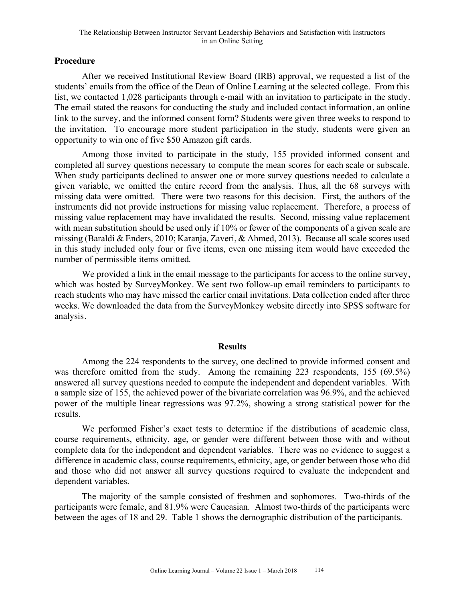## **Procedure**

After we received Institutional Review Board (IRB) approval, we requested a list of the students' emails from the office of the Dean of Online Learning at the selected college. From this list, we contacted 1,028 participants through e-mail with an invitation to participate in the study. The email stated the reasons for conducting the study and included contact information, an online link to the survey, and the informed consent form? Students were given three weeks to respond to the invitation. To encourage more student participation in the study, students were given an opportunity to win one of five \$50 Amazon gift cards.

Among those invited to participate in the study, 155 provided informed consent and completed all survey questions necessary to compute the mean scores for each scale or subscale. When study participants declined to answer one or more survey questions needed to calculate a given variable, we omitted the entire record from the analysis. Thus, all the 68 surveys with missing data were omitted. There were two reasons for this decision. First, the authors of the instruments did not provide instructions for missing value replacement. Therefore, a process of missing value replacement may have invalidated the results. Second, missing value replacement with mean substitution should be used only if 10% or fewer of the components of a given scale are missing (Baraldi & Enders, 2010; Karanja, Zaveri, & Ahmed, 2013). Because all scale scores used in this study included only four or five items, even one missing item would have exceeded the number of permissible items omitted.

We provided a link in the email message to the participants for access to the online survey, which was hosted by SurveyMonkey. We sent two follow-up email reminders to participants to reach students who may have missed the earlier email invitations. Data collection ended after three weeks. We downloaded the data from the SurveyMonkey website directly into SPSS software for analysis.

#### **Results**

Among the 224 respondents to the survey, one declined to provide informed consent and was therefore omitted from the study. Among the remaining 223 respondents, 155 (69.5%) answered all survey questions needed to compute the independent and dependent variables. With a sample size of 155, the achieved power of the bivariate correlation was 96.9%, and the achieved power of the multiple linear regressions was 97.2%, showing a strong statistical power for the results.

We performed Fisher's exact tests to determine if the distributions of academic class, course requirements, ethnicity, age, or gender were different between those with and without complete data for the independent and dependent variables. There was no evidence to suggest a difference in academic class, course requirements, ethnicity, age, or gender between those who did and those who did not answer all survey questions required to evaluate the independent and dependent variables.

The majority of the sample consisted of freshmen and sophomores. Two-thirds of the participants were female, and 81.9% were Caucasian. Almost two-thirds of the participants were between the ages of 18 and 29. Table 1 shows the demographic distribution of the participants.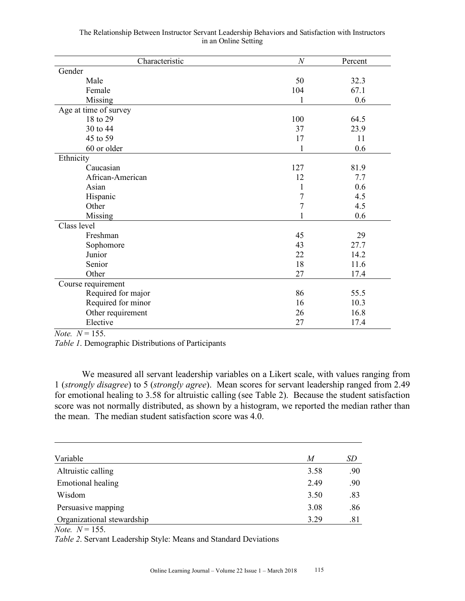| Characteristic        | $\boldsymbol{N}$ | Percent |
|-----------------------|------------------|---------|
| Gender                |                  |         |
| Male                  | 50               | 32.3    |
| Female                | 104              | 67.1    |
| Missing               |                  | 0.6     |
| Age at time of survey |                  |         |
| 18 to 29              | 100              | 64.5    |
| 30 to 44              | 37               | 23.9    |
| 45 to 59              | 17               | 11      |
| 60 or older           | 1                | 0.6     |
| Ethnicity             |                  |         |
| Caucasian             | 127              | 81.9    |
| African-American      | 12               | 7.7     |
| Asian                 | 1                | 0.6     |
| Hispanic              | $\overline{7}$   | 4.5     |
| Other                 | $\boldsymbol{7}$ | 4.5     |
| Missing               |                  | 0.6     |
| Class level           |                  |         |
| Freshman              | 45               | 29      |
| Sophomore             | 43               | 27.7    |
| Junior                | 22               | 14.2    |
| Senior                | 18               | 11.6    |
| Other                 | 27               | 17.4    |
| Course requirement    |                  |         |
| Required for major    | 86               | 55.5    |
| Required for minor    | 16               | 10.3    |
| Other requirement     | 26               | 16.8    |
| Elective              | 27               | 17.4    |

| The Relationship Between Instructor Servant Leadership Behaviors and Satisfaction with Instructors |  |  |  |
|----------------------------------------------------------------------------------------------------|--|--|--|
| in an Online Setting                                                                               |  |  |  |

*Note. N* = 155.

*Table 1*. Demographic Distributions of Participants

We measured all servant leadership variables on a Likert scale, with values ranging from 1 (*strongly disagree*) to 5 (*strongly agree*). Mean scores for servant leadership ranged from 2.49 for emotional healing to 3.58 for altruistic calling (see Table 2). Because the student satisfaction score was not normally distributed, as shown by a histogram, we reported the median rather than the mean. The median student satisfaction score was 4.0.

| Variable                                                                                                                                                                                                                                                                                                                           | M    | SD  |
|------------------------------------------------------------------------------------------------------------------------------------------------------------------------------------------------------------------------------------------------------------------------------------------------------------------------------------|------|-----|
| Altruistic calling                                                                                                                                                                                                                                                                                                                 | 3.58 | .90 |
| Emotional healing                                                                                                                                                                                                                                                                                                                  | 2.49 | .90 |
| Wisdom                                                                                                                                                                                                                                                                                                                             | 3.50 | .83 |
| Persuasive mapping                                                                                                                                                                                                                                                                                                                 | 3.08 | .86 |
| Organizational stewardship                                                                                                                                                                                                                                                                                                         | 3.29 | .81 |
| $\mathbf{v}$ $\mathbf{v}$ $\mathbf{v}$ $\mathbf{v}$ $\mathbf{v}$ $\mathbf{v}$ $\mathbf{v}$ $\mathbf{v}$ $\mathbf{v}$ $\mathbf{v}$ $\mathbf{v}$ $\mathbf{v}$ $\mathbf{v}$ $\mathbf{v}$ $\mathbf{v}$ $\mathbf{v}$ $\mathbf{v}$ $\mathbf{v}$ $\mathbf{v}$ $\mathbf{v}$ $\mathbf{v}$ $\mathbf{v}$ $\mathbf{v}$ $\mathbf{v}$ $\mathbf{$ |      |     |

*Note.*  $N = 155$ .

*Table 2*. Servant Leadership Style: Means and Standard Deviations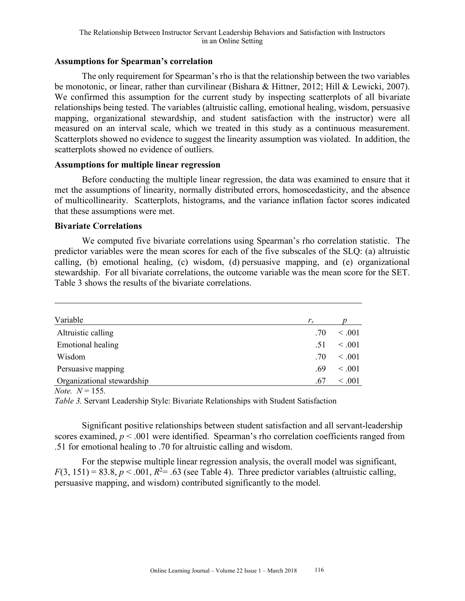## **Assumptions for Spearman's correlation**

The only requirement for Spearman's rho is that the relationship between the two variables be monotonic, or linear, rather than curvilinear (Bishara & Hittner, 2012; Hill & Lewicki, 2007). We confirmed this assumption for the current study by inspecting scatterplots of all bivariate relationships being tested. The variables (altruistic calling, emotional healing, wisdom, persuasive mapping, organizational stewardship, and student satisfaction with the instructor) were all measured on an interval scale, which we treated in this study as a continuous measurement. Scatterplots showed no evidence to suggest the linearity assumption was violated. In addition, the scatterplots showed no evidence of outliers.

## **Assumptions for multiple linear regression**

Before conducting the multiple linear regression, the data was examined to ensure that it met the assumptions of linearity, normally distributed errors, homoscedasticity, and the absence of multicollinearity. Scatterplots, histograms, and the variance inflation factor scores indicated that these assumptions were met.

#### **Bivariate Correlations**

We computed five bivariate correlations using Spearman's rho correlation statistic. The predictor variables were the mean scores for each of the five subscales of the SLQ: (a) altruistic calling, (b) emotional healing, (c) wisdom, (d) persuasive mapping, and (e) organizational stewardship. For all bivariate correlations, the outcome variable was the mean score for the SET. Table 3 shows the results of the bivariate correlations.

| Variable                   | $r_{s}$ |             |
|----------------------------|---------|-------------|
| Altruistic calling         | .70     | $\leq .001$ |
| Emotional healing          | .51     | $\leq .001$ |
| Wisdom                     | .70     | $\leq .001$ |
| Persuasive mapping         | .69     | $\leq .001$ |
| Organizational stewardship | .67     | $\leq .001$ |

*Note.*  $N = 155$ .

*Table 3.* Servant Leadership Style: Bivariate Relationships with Student Satisfaction

Significant positive relationships between student satisfaction and all servant-leadership scores examined,  $p < .001$  were identified. Spearman's rho correlation coefficients ranged from .51 for emotional healing to .70 for altruistic calling and wisdom.

For the stepwise multiple linear regression analysis, the overall model was significant,  $F(3, 151) = 83.8, p < .001, R<sup>2</sup>= .63$  (see Table 4). Three predictor variables (altruistic calling, persuasive mapping, and wisdom) contributed significantly to the model.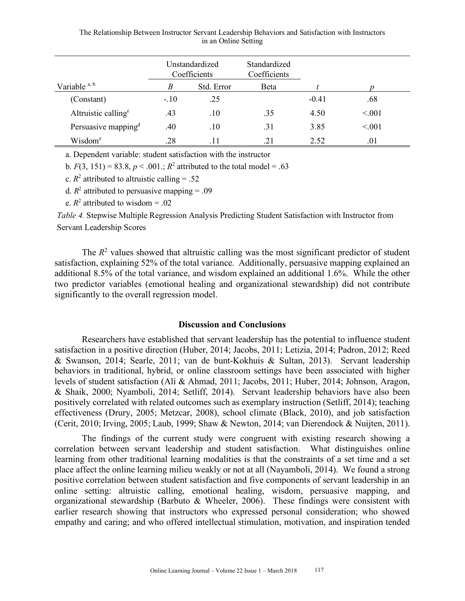| The Relationship Between Instructor Servant Leadership Behaviors and Satisfaction with Instructors |  |
|----------------------------------------------------------------------------------------------------|--|
| in an Online Setting                                                                               |  |

|                                 |        | Unstandardized<br>Coefficients | Standardized<br>Coefficients |         |        |
|---------------------------------|--------|--------------------------------|------------------------------|---------|--------|
| Variable $a, b$                 | B      | Std. Error                     | Beta                         |         |        |
| (Constant)                      | $-.10$ | .25                            |                              | $-0.41$ | .68    |
| Altruistic calling <sup>c</sup> | .43    | .10                            | .35                          | 4.50    | < 0.01 |
| Persuasive mapping <sup>d</sup> | .40    | .10                            | .31                          | 3.85    | < 0.01 |
| Wisdom <sup>e</sup>             | .28    |                                | $.2^{\circ}$                 | 2.52    | .01    |

a. Dependent variable: student satisfaction with the instructor

b.  $F(3, 151) = 83.8, p < .001$ ;  $R^2$  attributed to the total model = .63

c.  $R^2$  attributed to altruistic calling = .52

d.  $R^2$  attributed to persuasive mapping = .09

e.  $R^2$  attributed to wisdom = .02

*Table 4.* Stepwise Multiple Regression Analysis Predicting Student Satisfaction with Instructor from Servant Leadership Scores

The  $R<sup>2</sup>$  values showed that altruistic calling was the most significant predictor of student satisfaction, explaining 52% of the total variance. Additionally, persuasive mapping explained an additional 8.5% of the total variance, and wisdom explained an additional 1.6%. While the other two predictor variables (emotional healing and organizational stewardship) did not contribute significantly to the overall regression model.

#### **Discussion and Conclusions**

Researchers have established that servant leadership has the potential to influence student satisfaction in a positive direction (Huber, 2014; Jacobs, 2011; Letizia, 2014; Padron, 2012; Reed & Swanson, 2014; Searle, 2011; van de bunt-Kokhuis & Sultan, 2013). Servant leadership behaviors in traditional, hybrid, or online classroom settings have been associated with higher levels of student satisfaction (Ali & Ahmad, 2011; Jacobs, 2011; Huber, 2014; Johnson, Aragon, & Shaik, 2000; Nyamboli, 2014; Setliff, 2014). Servant leadership behaviors have also been positively correlated with related outcomes such as exemplary instruction (Setliff, 2014); teaching effectiveness (Drury, 2005; Metzcar, 2008), school climate (Black, 2010), and job satisfaction (Cerit, 2010; Irving, 2005; Laub, 1999; Shaw & Newton, 2014; van Dierendock & Nuijten, 2011).

The findings of the current study were congruent with existing research showing a correlation between servant leadership and student satisfaction. What distinguishes online learning from other traditional learning modalities is that the constraints of a set time and a set place affect the online learning milieu weakly or not at all (Nayamboli, 2014). We found a strong positive correlation between student satisfaction and five components of servant leadership in an online setting: altruistic calling, emotional healing, wisdom, persuasive mapping, and organizational stewardship (Barbuto & Wheeler, 2006). These findings were consistent with earlier research showing that instructors who expressed personal consideration; who showed empathy and caring; and who offered intellectual stimulation, motivation, and inspiration tended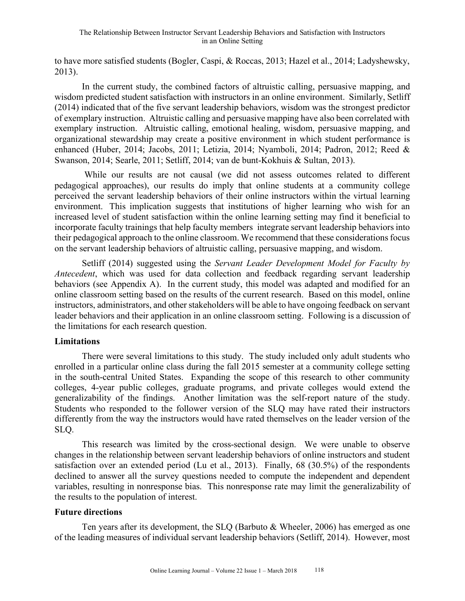to have more satisfied students (Bogler, Caspi, & Roccas, 2013; Hazel et al., 2014; Ladyshewsky, 2013).

In the current study, the combined factors of altruistic calling, persuasive mapping, and wisdom predicted student satisfaction with instructors in an online environment. Similarly, Setliff (2014) indicated that of the five servant leadership behaviors, wisdom was the strongest predictor of exemplary instruction. Altruistic calling and persuasive mapping have also been correlated with exemplary instruction. Altruistic calling, emotional healing, wisdom, persuasive mapping, and organizational stewardship may create a positive environment in which student performance is enhanced (Huber, 2014; Jacobs, 2011; Letizia, 2014; Nyamboli, 2014; Padron, 2012; Reed & Swanson, 2014; Searle, 2011; Setliff, 2014; van de bunt-Kokhuis & Sultan, 2013).

While our results are not causal (we did not assess outcomes related to different pedagogical approaches), our results do imply that online students at a community college perceived the servant leadership behaviors of their online instructors within the virtual learning environment. This implication suggests that institutions of higher learning who wish for an increased level of student satisfaction within the online learning setting may find it beneficial to incorporate faculty trainings that help faculty members integrate servant leadership behaviors into their pedagogical approach to the online classroom. We recommend that these considerations focus on the servant leadership behaviors of altruistic calling, persuasive mapping, and wisdom.

Setliff (2014) suggested using the *Servant Leader Development Model for Faculty by Antecedent*, which was used for data collection and feedback regarding servant leadership behaviors (see Appendix A). In the current study, this model was adapted and modified for an online classroom setting based on the results of the current research. Based on this model, online instructors, administrators, and other stakeholders will be able to have ongoing feedback on servant leader behaviors and their application in an online classroom setting. Following is a discussion of the limitations for each research question.

#### **Limitations**

There were several limitations to this study. The study included only adult students who enrolled in a particular online class during the fall 2015 semester at a community college setting in the south-central United States. Expanding the scope of this research to other community colleges, 4-year public colleges, graduate programs, and private colleges would extend the generalizability of the findings. Another limitation was the self-report nature of the study. Students who responded to the follower version of the SLQ may have rated their instructors differently from the way the instructors would have rated themselves on the leader version of the SLQ.

This research was limited by the cross-sectional design. We were unable to observe changes in the relationship between servant leadership behaviors of online instructors and student satisfaction over an extended period (Lu et al., 2013). Finally, 68 (30.5%) of the respondents declined to answer all the survey questions needed to compute the independent and dependent variables, resulting in nonresponse bias. This nonresponse rate may limit the generalizability of the results to the population of interest.

## **Future directions**

Ten years after its development, the SLQ (Barbuto & Wheeler, 2006) has emerged as one of the leading measures of individual servant leadership behaviors (Setliff, 2014). However, most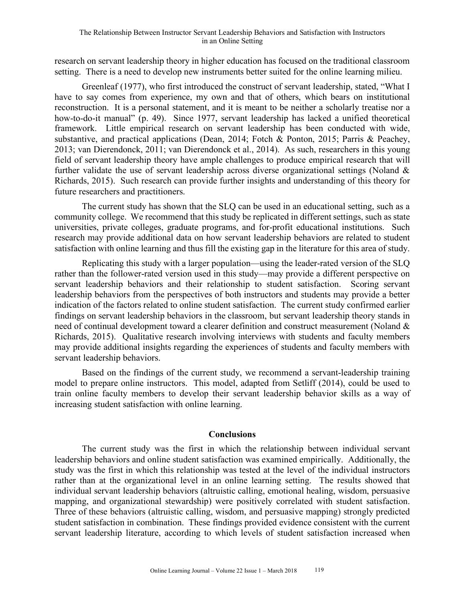research on servant leadership theory in higher education has focused on the traditional classroom setting. There is a need to develop new instruments better suited for the online learning milieu.

Greenleaf (1977), who first introduced the construct of servant leadership, stated, "What I have to say comes from experience, my own and that of others, which bears on institutional reconstruction. It is a personal statement, and it is meant to be neither a scholarly treatise nor a how-to-do-it manual" (p. 49). Since 1977, servant leadership has lacked a unified theoretical framework. Little empirical research on servant leadership has been conducted with wide, substantive, and practical applications (Dean, 2014; Fotch & Ponton, 2015; Parris & Peachey, 2013; van Dierendonck, 2011; van Dierendonck et al., 2014). As such, researchers in this young field of servant leadership theory have ample challenges to produce empirical research that will further validate the use of servant leadership across diverse organizational settings (Noland & Richards, 2015). Such research can provide further insights and understanding of this theory for future researchers and practitioners.

The current study has shown that the SLQ can be used in an educational setting, such as a community college. We recommend that this study be replicated in different settings, such as state universities, private colleges, graduate programs, and for-profit educational institutions. Such research may provide additional data on how servant leadership behaviors are related to student satisfaction with online learning and thus fill the existing gap in the literature for this area of study.

Replicating this study with a larger population—using the leader-rated version of the SLQ rather than the follower-rated version used in this study—may provide a different perspective on servant leadership behaviors and their relationship to student satisfaction. Scoring servant leadership behaviors from the perspectives of both instructors and students may provide a better indication of the factors related to online student satisfaction. The current study confirmed earlier findings on servant leadership behaviors in the classroom, but servant leadership theory stands in need of continual development toward a clearer definition and construct measurement (Noland & Richards, 2015). Qualitative research involving interviews with students and faculty members may provide additional insights regarding the experiences of students and faculty members with servant leadership behaviors.

Based on the findings of the current study, we recommend a servant-leadership training model to prepare online instructors. This model, adapted from Setliff (2014), could be used to train online faculty members to develop their servant leadership behavior skills as a way of increasing student satisfaction with online learning.

## **Conclusions**

The current study was the first in which the relationship between individual servant leadership behaviors and online student satisfaction was examined empirically. Additionally, the study was the first in which this relationship was tested at the level of the individual instructors rather than at the organizational level in an online learning setting. The results showed that individual servant leadership behaviors (altruistic calling, emotional healing, wisdom, persuasive mapping, and organizational stewardship) were positively correlated with student satisfaction. Three of these behaviors (altruistic calling, wisdom, and persuasive mapping) strongly predicted student satisfaction in combination. These findings provided evidence consistent with the current servant leadership literature, according to which levels of student satisfaction increased when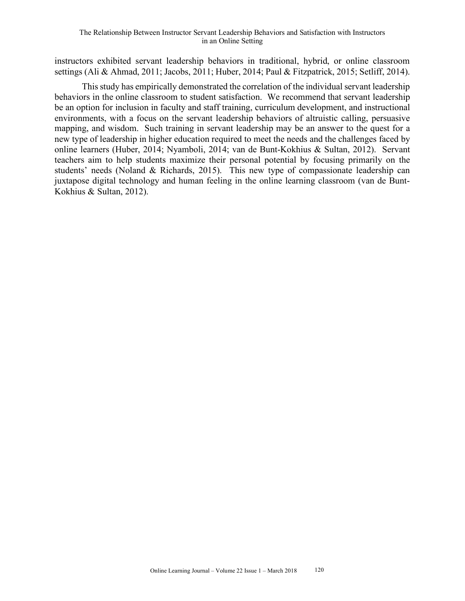instructors exhibited servant leadership behaviors in traditional, hybrid, or online classroom settings (Ali & Ahmad, 2011; Jacobs, 2011; Huber, 2014; Paul & Fitzpatrick, 2015; Setliff, 2014).

Thisstudy has empirically demonstrated the correlation of the individual servant leadership behaviors in the online classroom to student satisfaction. We recommend that servant leadership be an option for inclusion in faculty and staff training, curriculum development, and instructional environments, with a focus on the servant leadership behaviors of altruistic calling, persuasive mapping, and wisdom. Such training in servant leadership may be an answer to the quest for a new type of leadership in higher education required to meet the needs and the challenges faced by online learners (Huber, 2014; Nyamboli, 2014; van de Bunt-Kokhius & Sultan, 2012). Servant teachers aim to help students maximize their personal potential by focusing primarily on the students' needs (Noland & Richards, 2015). This new type of compassionate leadership can juxtapose digital technology and human feeling in the online learning classroom (van de Bunt-Kokhius & Sultan, 2012).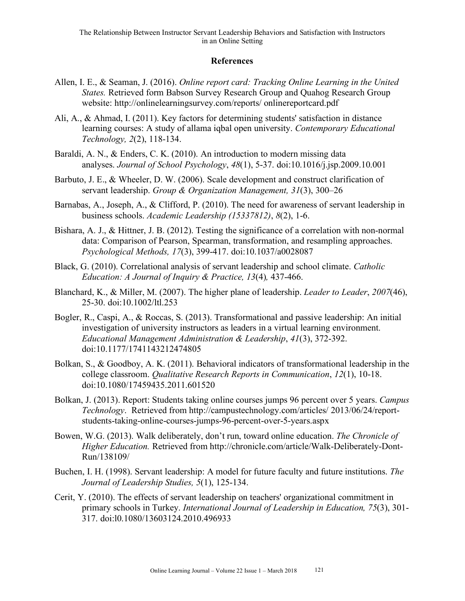## **References**

- Allen, I. E., & Seaman, J. (2016). *Online report card: Tracking Online Learning in the United States.* Retrieved form Babson Survey Research Group and Quahog Research Group website: http://onlinelearningsurvey.com/reports/ onlinereportcard.pdf
- Ali, A., & Ahmad, I. (2011). Key factors for determining students' satisfaction in distance learning courses: A study of allama iqbal open university. *Contemporary Educational Technology, 2*(2), 118-134.
- Baraldi, A. N., & Enders, C. K. (2010). An introduction to modern missing data analyses. *Journal of School Psychology*, *48*(1), 5-37. doi:10.1016/j.jsp.2009.10.001
- Barbuto, J. E., & Wheeler, D. W. (2006). Scale development and construct clarification of servant leadership. *Group & Organization Management, 31*(3), 300–26
- Barnabas, A., Joseph, A., & Clifford, P. (2010). The need for awareness of servant leadership in business schools. *Academic Leadership (15337812)*, *8*(2), 1-6.
- Bishara, A. J., & Hittner, J. B. (2012). Testing the significance of a correlation with non-normal data: Comparison of Pearson, Spearman, transformation, and resampling approaches. *Psychological Methods, 17*(3), 399-417. doi:10.1037/a0028087
- Black, G. (2010). Correlational analysis of servant leadership and school climate. *Catholic Education: A Journal of Inquiry & Practice, 13*(4)*,* 437-466.
- Blanchard, K., & Miller, M. (2007). The higher plane of leadership. *Leader to Leader*, *2007*(46), 25-30. doi:10.1002/ltl.253
- Bogler, R., Caspi, A., & Roccas, S. (2013). Transformational and passive leadership: An initial investigation of university instructors as leaders in a virtual learning environment. *Educational Management Administration & Leadership*, *41*(3), 372-392. doi:10.1177/1741143212474805
- Bolkan, S., & Goodboy, A. K. (2011). Behavioral indicators of transformational leadership in the college classroom. *Qualitative Research Reports in Communication*, *12*(1), 10-18. doi:10.1080/17459435.2011.601520
- Bolkan, J. (2013). Report: Students taking online courses jumps 96 percent over 5 years. *Campus Technology*. Retrieved from http://campustechnology.com/articles/ 2013/06/24/reportstudents-taking-online-courses-jumps-96-percent-over-5-years.aspx
- Bowen, W.G. (2013). Walk deliberately, don't run, toward online education. *The Chronicle of Higher Education.* Retrieved from http://chronicle.com/article/Walk-Deliberately-Dont-Run/138109/
- Buchen, I. H. (1998). Servant leadership: A model for future faculty and future institutions. *The Journal of Leadership Studies, 5*(1), 125-134.
- Cerit, Y. (2010). The effects of servant leadership on teachers' organizational commitment in primary schools in Turkey. *International Journal of Leadership in Education, 75*(3), 301- 317. doi:l0.1080/13603124.2010.496933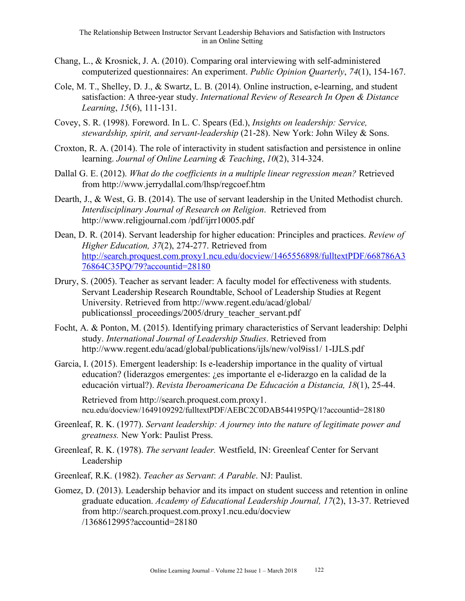- Chang, L., & Krosnick, J. A. (2010). Comparing oral interviewing with self-administered computerized questionnaires: An experiment. *Public Opinion Quarterly*, *74*(1), 154-167.
- Cole, M. T., Shelley, D. J., & Swartz, L. B. (2014). Online instruction, e-learning, and student satisfaction: A three-year study. *International Review of Research In Open & Distance Learning*, *15*(6), 111-131.
- Covey, S. R. (1998). Foreword. In L. C. Spears (Ed.), *Insights on leadership: Service, stewardship, spirit, and servant-leadership* (21-28). New York: John Wiley & Sons.
- Croxton, R. A. (2014). The role of interactivity in student satisfaction and persistence in online learning. *Journal of Online Learning & Teaching*, *10*(2), 314-324.
- Dallal G. E. (2012). *What do the coefficients in a multiple linear regression mean?* Retrieved from http://www.jerrydallal.com/lhsp/regcoef.htm
- Dearth, J., & West, G. B. (2014). The use of servant leadership in the United Methodist church. *Interdisciplinary Journal of Research on Religion*. Retrieved from http://www.religjournal.com /pdf/ijrr10005.pdf
- Dean, D. R. (2014). Servant leadership for higher education: Principles and practices. *Review of Higher Education, 37*(2), 274-277. Retrieved from http://search.proquest.com.proxy1.ncu.edu/docview/1465556898/fulltextPDF/668786A3 76864C35PQ/79?accountid=28180
- Drury, S. (2005). Teacher as servant leader: A faculty model for effectiveness with students. Servant Leadership Research Roundtable, School of Leadership Studies at Regent University. Retrieved from http://www.regent.edu/acad/global/ publicationssl\_proceedings/2005/drury\_teacher\_servant.pdf
- Focht, A. & Ponton, M. (2015). Identifying primary characteristics of Servant leadership: Delphi study. *International Journal of Leadership Studies*. Retrieved from http://www.regent.edu/acad/global/publications/ijls/new/vol9iss1/ 1-IJLS.pdf

Garcia, I. (2015). Emergent leadership: Is e-leadership importance in the quality of virtual education? (liderazgos emergentes: ¿es importante el e-liderazgo en la calidad de la educación virtual?). *Revista Iberoamericana De Educación a Distancia, 18*(1), 25-44.

Retrieved from http://search.proquest.com.proxy1. ncu.edu/docview/1649109292/fulltextPDF/AEBC2C0DAB544195PQ/1?accountid=28180

- Greenleaf, R. K. (1977). *Servant leadership: A journey into the nature of legitimate power and greatness.* New York: Paulist Press.
- Greenleaf, R. K. (1978). *The servant leader.* Westfield, IN: Greenleaf Center for Servant Leadership
- Greenleaf, R.K. (1982). *Teacher as Servant*: *A Parable*. NJ: Paulist.
- Gomez, D. (2013). Leadership behavior and its impact on student success and retention in online graduate education. *Academy of Educational Leadership Journal, 17*(2), 13-37. Retrieved from http://search.proquest.com.proxy1.ncu.edu/docview /1368612995?accountid=28180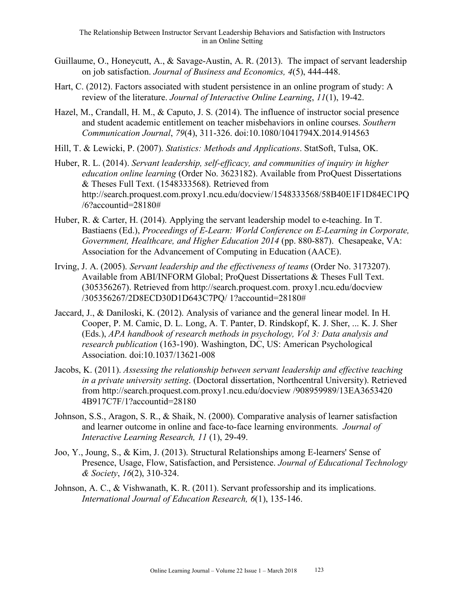- Guillaume, O., Honeycutt, A., & Savage-Austin, A. R. (2013). The impact of servant leadership on job satisfaction. *Journal of Business and Economics, 4*(5), 444-448.
- Hart, C. (2012). Factors associated with student persistence in an online program of study: A review of the literature. *Journal of Interactive Online Learning*, *11*(1), 19-42.
- Hazel, M., Crandall, H. M., & Caputo, J. S. (2014). The influence of instructor social presence and student academic entitlement on teacher misbehaviors in online courses. *Southern Communication Journal*, *79*(4), 311-326. doi:10.1080/1041794X.2014.914563
- Hill, T. & Lewicki, P. (2007). *Statistics: Methods and Applications*. StatSoft, Tulsa, OK.
- Huber, R. L. (2014). *Servant leadership, self-efficacy, and communities of inquiry in higher education online learning* (Order No. 3623182). Available from ProQuest Dissertations & Theses Full Text. (1548333568). Retrieved from http://search.proquest.com.proxy1.ncu.edu/docview/1548333568/58B40E1F1D84EC1PQ /6?accountid=28180#
- Huber, R. & Carter, H. (2014). Applying the servant leadership model to e-teaching. In T. Bastiaens (Ed.), *Proceedings of E-Learn: World Conference on E-Learning in Corporate, Government, Healthcare, and Higher Education 2014* (pp. 880-887). Chesapeake, VA: Association for the Advancement of Computing in Education (AACE).
- Irving, J. A. (2005). *Servant leadership and the effectiveness of teams* (Order No. 3173207). Available from ABI/INFORM Global; ProQuest Dissertations & Theses Full Text. (305356267). Retrieved from http://search.proquest.com. proxy1.ncu.edu/docview /305356267/2D8ECD30D1D643C7PQ/ 1?accountid=28180#
- Jaccard, J., & Daniloski, K. (2012). Analysis of variance and the general linear model. In H. Cooper, P. M. Camic, D. L. Long, A. T. Panter, D. Rindskopf, K. J. Sher, ... K. J. Sher (Eds.), *APA handbook of research methods in psychology, Vol 3: Data analysis and research publication* (163-190). Washington, DC, US: American Psychological Association. doi:10.1037/13621-008
- Jacobs, K. (2011). *Assessing the relationship between servant leadership and effective teaching in a private university setting*. (Doctoral dissertation, Northcentral University). Retrieved from http://search.proquest.com.proxy1.ncu.edu/docview /908959989/13EA3653420 4B917C7F/1?accountid=28180
- Johnson, S.S., Aragon, S. R., & Shaik, N. (2000). Comparative analysis of learner satisfaction and learner outcome in online and face-to-face learning environments. *Journal of Interactive Learning Research, 11* (1), 29-49.
- Joo, Y., Joung, S., & Kim, J. (2013). Structural Relationships among E-learners' Sense of Presence, Usage, Flow, Satisfaction, and Persistence. *Journal of Educational Technology & Society*, *16*(2), 310-324.
- Johnson, A. C., & Vishwanath, K. R. (2011). Servant professorship and its implications. *International Journal of Education Research, 6*(1), 135-146.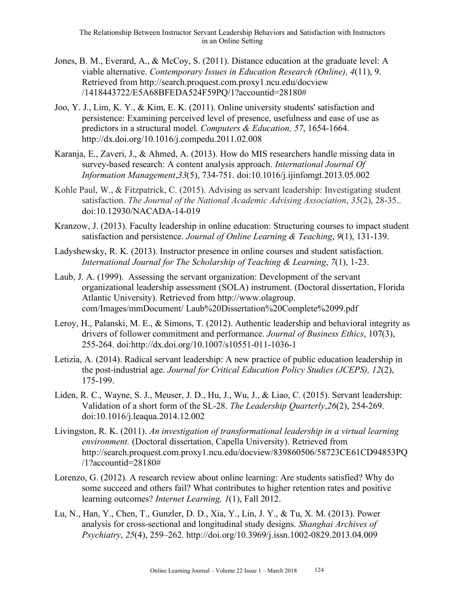- Jones, B. M., Everard, A., & McCoy, S. (2011). Distance education at the graduate level: A viable alternative. *Contemporary Issues in Education Research (Online), 4*(11), 9. Retrieved from http://search.proquest.com.proxy1.ncu.edu/docview /1418443722/E5A68BFEDA524F59PQ/1?accountid=28180#
- Joo, Y. J., Lim, K. Y., & Kim, E. K. (2011). Online university students' satisfaction and persistence: Examining perceived level of presence, usefulness and ease of use as predictors in a structural model. *Computers & Education, 57*, 1654-1664. http://dx.doi.org/10.1016/j.compedu.2011.02.008
- Karanja, E., Zaveri, J., & Ahmed, A. (2013). How do MIS researchers handle missing data in survey-based research: A content analysis approach. *International Journal Of Information Management*,*33*(5), 734-751. doi:10.1016/j.ijinfomgt.2013.05.002
- Kohle Paul, W., & Fitzpatrick, C. (2015). Advising as servant leadership: Investigating student satisfaction. *The Journal of the National Academic Advising Association*, *35*(2), 28-35.. doi:10.12930/NACADA-14-019
- Kranzow, J. (2013). Faculty leadership in online education: Structuring courses to impact student satisfaction and persistence. *Journal of Online Learning & Teaching*, *9*(1), 131-139.
- Ladyshewsky, R. K. (2013). Instructor presence in online courses and student satisfaction. *International Journal for The Scholarship of Teaching & Learning*, *7*(1), 1-23.
- Laub, J. A. (1999). Assessing the servant organization: Development of the servant organizational leadership assessment (SOLA) instrument. (Doctoral dissertation, Florida Atlantic University). Retrieved from http://www.olagroup. com/Images/mmDocument/ Laub%20Dissertation%20Complete%2099.pdf
- Leroy, H., Palanski, M. E., & Simons, T. (2012). Authentic leadership and behavioral integrity as drivers of follower commitment and performance. *Journal of Business Ethics*, 107(3), 255-264. doi:http://dx.doi.org/10.1007/s10551-011-1036-1
- Letizia, A. (2014). Radical servant leadership: A new practice of public education leadership in the post-industrial age. *Journal for Critical Education Policy Studies (JCEPS), 12*(2), 175-199.
- Liden, R. C., Wayne, S. J., Meuser, J. D., Hu, J., Wu, J., & Liao, C. (2015). Servant leadership: Validation of a short form of the SL-28. *The Leadership Quarterly*,*26*(2), 254-269. doi:10.1016/j.leaqua.2014.12.002
- Livingston, R. K. (2011). *An investigation of transformational leadership in a virtual learning environment.* (Doctoral dissertation, Capella University). Retrieved from http://search.proquest.com.proxy1.ncu.edu/docview/839860506/58723CE61CD94853PQ /1?accountid=28180#
- Lorenzo, G. (2012). A research review about online learning: Are students satisfied? Why do some succeed and others fail? What contributes to higher retention rates and positive learning outcomes? *Internet Learning, 1*(1), Fall 2012.
- Lu, N., Han, Y., Chen, T., Gunzler, D. D., Xia, Y., Lin, J. Y., & Tu, X. M. (2013). Power analysis for cross-sectional and longitudinal study designs. *Shanghai Archives of Psychiatry*, *25*(4), 259–262. http://doi.org/10.3969/j.issn.1002-0829.2013.04.009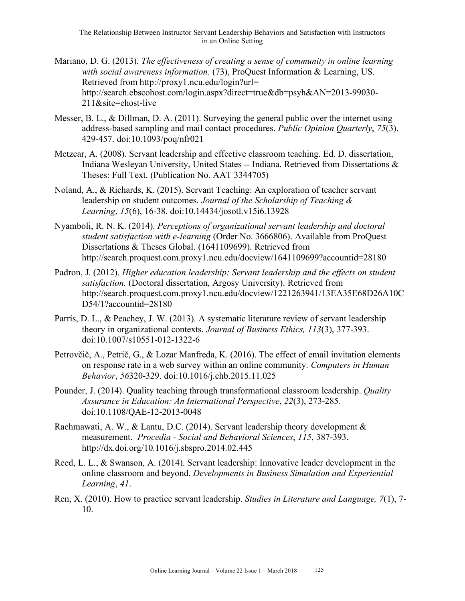- Mariano, D. G. (2013). *The effectiveness of creating a sense of community in online learning with social awareness information.* (73), ProQuest Information & Learning, US. Retrieved from http://proxy1.ncu.edu/login?url= http://search.ebscohost.com/login.aspx?direct=true&db=psyh&AN=2013-99030- 211&site=ehost-live
- Messer, B. L., & Dillman, D. A. (2011). Surveying the general public over the internet using address-based sampling and mail contact procedures. *Public Opinion Quarterly*, *75*(3), 429-457. doi:10.1093/poq/nfr021
- Metzcar, A. (2008). Servant leadership and effective classroom teaching. Ed. D. dissertation, Indiana Wesleyan University, United States -- Indiana. Retrieved from Dissertations & Theses: Full Text. (Publication No. AAT 3344705)
- Noland, A., & Richards, K. (2015). Servant Teaching: An exploration of teacher servant leadership on student outcomes. *Journal of the Scholarship of Teaching & Learning*, *15*(6), 16-38. doi:10.14434/josotl.v15i6.13928
- Nyamboli, R. N. K. (2014). *Perceptions of organizational servant leadership and doctoral student satisfaction with e-learning* (Order No. 3666806). Available from ProQuest Dissertations & Theses Global. (1641109699). Retrieved from http://search.proquest.com.proxy1.ncu.edu/docview/1641109699?accountid=28180
- Padron, J. (2012). *Higher education leadership: Servant leadership and the effects on student satisfaction.* (Doctoral dissertation, Argosy University). Retrieved from http://search.proquest.com.proxy1.ncu.edu/docview/1221263941/13EA35E68D26A10C D54/1?accountid=28180
- Parris, D. L., & Peachey, J. W. (2013). A systematic literature review of servant leadership theory in organizational contexts. *Journal of Business Ethics, 113*(3), 377-393. doi:10.1007/s10551-012-1322-6
- Petrovčič, A., Petrič, G., & Lozar Manfreda, K. (2016). The effect of email invitation elements on response rate in a web survey within an online community. *Computers in Human Behavior*, *56*320-329. doi:10.1016/j.chb.2015.11.025
- Pounder, J. (2014). Quality teaching through transformational classroom leadership. *Quality Assurance in Education: An International Perspective*, *22*(3), 273-285. doi:10.1108/QAE-12-2013-0048
- Rachmawati, A. W., & Lantu, D.C. (2014). Servant leadership theory development & measurement. *Procedia - Social and Behavioral Sciences*, *115*, 387-393. http://dx.doi.org/10.1016/j.sbspro.2014.02.445
- Reed, L. L., & Swanson, A. (2014). Servant leadership: Innovative leader development in the online classroom and beyond. *Developments in Business Simulation and Experiential Learning*, *41*.
- Ren, X. (2010). How to practice servant leadership. *Studies in Literature and Language, 7*(1), 7- 10.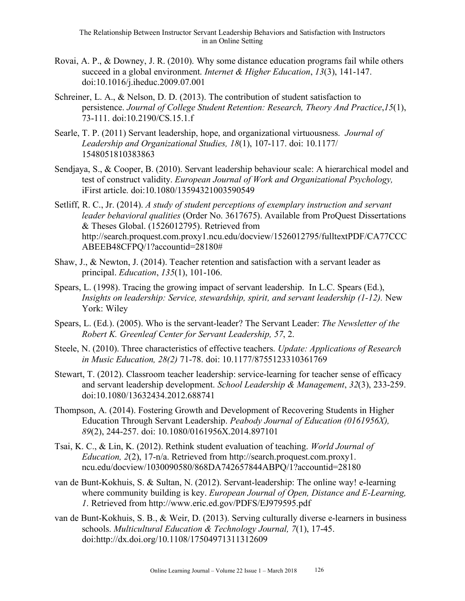- Rovai, A. P., & Downey, J. R. (2010). Why some distance education programs fail while others succeed in a global environment. *Internet & Higher Education*, *13*(3), 141-147. doi:10.1016/j.iheduc.2009.07.001
- Schreiner, L. A., & Nelson, D. D. (2013). The contribution of student satisfaction to persistence. *Journal of College Student Retention: Research, Theory And Practice*,*15*(1), 73-111. doi:10.2190/CS.15.1.f
- Searle, T. P. (2011) Servant leadership, hope, and organizational virtuousness. *Journal of Leadership and Organizational Studies, 18*(1), 107-117. doi: 10.1177/ 1548051810383863
- Sendjaya, S., & Cooper, B. (2010). Servant leadership behaviour scale: A hierarchical model and test of construct validity. *European Journal of Work and Organizational Psychology,*  iFirst article. doi:10.1080/13594321003590549
- Setliff, R. C., Jr. (2014). *A study of student perceptions of exemplary instruction and servant leader behavioral qualities* (Order No. 3617675). Available from ProQuest Dissertations & Theses Global. (1526012795). Retrieved from http://search.proquest.com.proxy1.ncu.edu/docview/1526012795/fulltextPDF/CA77CCC ABEEB48CFPQ/1?accountid=28180#
- Shaw, J., & Newton, J. (2014). Teacher retention and satisfaction with a servant leader as principal. *Education*, *135*(1), 101-106.
- Spears, L. (1998). Tracing the growing impact of servant leadership. In L.C. Spears (Ed.), *Insights on leadership: Service, stewardship, spirit, and servant leadership (1-12).* New York: Wiley
- Spears, L. (Ed.). (2005). Who is the servant-leader? The Servant Leader: *The Newsletter of the Robert K. Greenleaf Center for Servant Leadership, 57*, 2.
- Steele, N. (2010). Three characteristics of effective teachers. *Update: Applications of Research in Music Education, 28(2)* 71-78. doi: 10.1177/8755123310361769
- Stewart, T. (2012). Classroom teacher leadership: service-learning for teacher sense of efficacy and servant leadership development. *School Leadership & Management*, *32*(3), 233-259. doi:10.1080/13632434.2012.688741
- Thompson, A. (2014). Fostering Growth and Development of Recovering Students in Higher Education Through Servant Leadership. *Peabody Journal of Education (0161956X), 89*(2), 244-257. doi: 10.1080/0161956X.2014.897101
- Tsai, K. C., & Lin, K. (2012). Rethink student evaluation of teaching. *World Journal of Education, 2*(2), 17-n/a. Retrieved from http://search.proquest.com.proxy1. ncu.edu/docview/1030090580/868DA742657844ABPQ/1?accountid=28180
- van de Bunt-Kokhuis, S. & Sultan, N. (2012). Servant-leadership: The online way! e-learning where community building is key. *European Journal of Open, Distance and E-Learning, 1*. Retrieved from http://www.eric.ed.gov/PDFS/EJ979595.pdf
- van de Bunt-Kokhuis, S. B., & Weir, D. (2013). Serving culturally diverse e-learners in business schools. *Multicultural Education & Technology Journal, 7*(1), 17-45. doi:http://dx.doi.org/10.1108/17504971311312609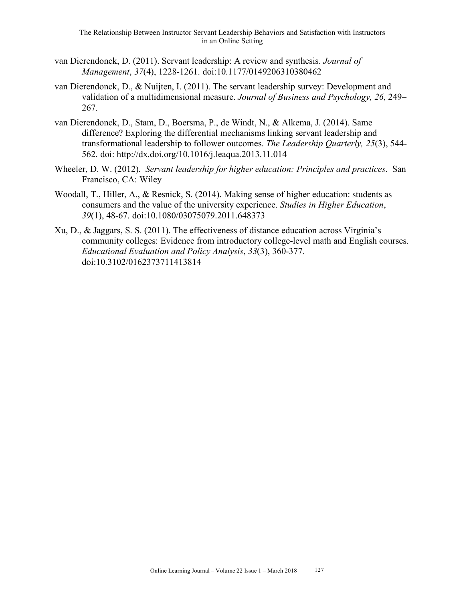- van Dierendonck, D. (2011). Servant leadership: A review and synthesis. *Journal of Management*, *37*(4), 1228-1261. doi:10.1177/0149206310380462
- van Dierendonck, D., & Nuijten, I. (2011). The servant leadership survey: Development and validation of a multidimensional measure. *Journal of Business and Psychology, 26*, 249– 267.
- van Dierendonck, D., Stam, D., Boersma, P., de Windt, N., & Alkema, J. (2014). Same difference? Exploring the differential mechanisms linking servant leadership and transformational leadership to follower outcomes. *The Leadership Quarterly, 25*(3), 544- 562. doi: http://dx.doi.org/10.1016/j.leaqua.2013.11.014
- Wheeler, D. W. (2012). *Servant leadership for higher education: Principles and practices*. San Francisco, CA: Wiley
- Woodall, T., Hiller, A., & Resnick, S. (2014). Making sense of higher education: students as consumers and the value of the university experience. *Studies in Higher Education*, *39*(1), 48-67. doi:10.1080/03075079.2011.648373
- Xu, D., & Jaggars, S. S. (2011). The effectiveness of distance education across Virginia's community colleges: Evidence from introductory college-level math and English courses. *Educational Evaluation and Policy Analysis*, *33*(3), 360-377. doi:10.3102/0162373711413814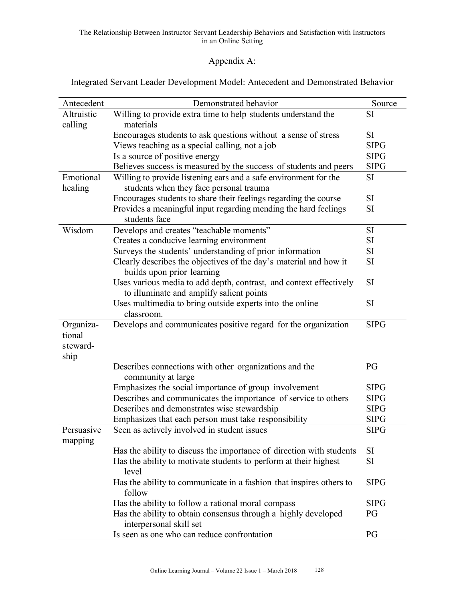#### The Relationship Between Instructor Servant Leadership Behaviors and Satisfaction with Instructors in an Online Setting

# Appendix A:

Integrated Servant Leader Development Model: Antecedent and Demonstrated Behavior

| Antecedent | Demonstrated behavior                                                | Source      |
|------------|----------------------------------------------------------------------|-------------|
| Altruistic | Willing to provide extra time to help students understand the        | <b>SI</b>   |
| calling    | materials                                                            |             |
|            | Encourages students to ask questions without a sense of stress       | SI          |
|            | Views teaching as a special calling, not a job                       | <b>SIPG</b> |
|            | Is a source of positive energy                                       | <b>SIPG</b> |
|            | Believes success is measured by the success of students and peers    | <b>SIPG</b> |
| Emotional  | Willing to provide listening ears and a safe environment for the     | <b>SI</b>   |
| healing    | students when they face personal trauma                              |             |
|            | Encourages students to share their feelings regarding the course     | SI          |
|            | Provides a meaningful input regarding mending the hard feelings      | SI          |
|            | students face                                                        |             |
| Wisdom     | Develops and creates "teachable moments"                             | <b>SI</b>   |
|            | Creates a conducive learning environment                             | SI          |
|            | Surveys the students' understanding of prior information             | <b>SI</b>   |
|            | Clearly describes the objectives of the day's material and how it    | <b>SI</b>   |
|            | builds upon prior learning                                           |             |
|            | Uses various media to add depth, contrast, and context effectively   | SI          |
|            | to illuminate and amplify salient points                             |             |
|            | Uses multimedia to bring outside experts into the online             | SI          |
|            | classroom.                                                           |             |
| Organiza-  | Develops and communicates positive regard for the organization       | <b>SIPG</b> |
| tional     |                                                                      |             |
| steward-   |                                                                      |             |
| ship       |                                                                      |             |
|            | Describes connections with other organizations and the               | PG          |
|            | community at large                                                   |             |
|            | Emphasizes the social importance of group involvement                | <b>SIPG</b> |
|            | Describes and communicates the importance of service to others       | <b>SIPG</b> |
|            | Describes and demonstrates wise stewardship                          | <b>SIPG</b> |
|            | Emphasizes that each person must take responsibility                 | <b>SIPG</b> |
| Persuasive | Seen as actively involved in student issues                          | <b>SIPG</b> |
| mapping    |                                                                      |             |
|            | Has the ability to discuss the importance of direction with students | SI          |
|            | Has the ability to motivate students to perform at their highest     | <b>SI</b>   |
|            | level                                                                |             |
|            | Has the ability to communicate in a fashion that inspires others to  | <b>SIPG</b> |
|            | follow                                                               |             |
|            | Has the ability to follow a rational moral compass                   | <b>SIPG</b> |
|            | Has the ability to obtain consensus through a highly developed       | PG          |
|            | interpersonal skill set                                              |             |
|            | Is seen as one who can reduce confrontation                          | PG          |